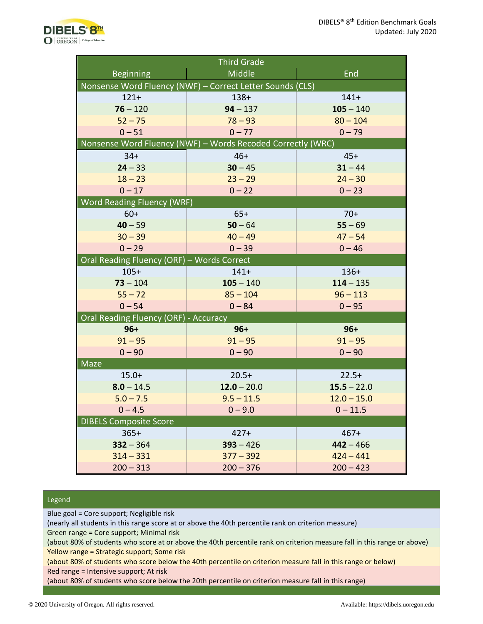

| <b>Third Grade</b>                                          |               |               |
|-------------------------------------------------------------|---------------|---------------|
| <b>Beginning</b>                                            | Middle        | End           |
| Nonsense Word Fluency (NWF) - Correct Letter Sounds (CLS)   |               |               |
| $121+$                                                      | $138+$        | $141 +$       |
| $76 - 120$                                                  | $94 - 137$    | $105 - 140$   |
| $52 - 75$                                                   | $78 - 93$     | $80 - 104$    |
| $0 - 51$                                                    | $0 - 77$      | $0 - 79$      |
| Nonsense Word Fluency (NWF) - Words Recoded Correctly (WRC) |               |               |
| $34+$                                                       | $46+$         | $45+$         |
| $24 - 33$                                                   | $30 - 45$     | $31 - 44$     |
| $18 - 23$                                                   | $23 - 29$     | $24 - 30$     |
| $0 - 17$                                                    | $0 - 22$      | $0 - 23$      |
| <b>Word Reading Fluency (WRF)</b>                           |               |               |
| $60+$                                                       | $65+$         | $70+$         |
| $40 - 59$                                                   | $50 - 64$     | $55 - 69$     |
| $30 - 39$                                                   | $40 - 49$     | $47 - 54$     |
| $0 - 29$                                                    | $0 - 39$      | $0 - 46$      |
| Oral Reading Fluency (ORF) - Words Correct                  |               |               |
| $105+$                                                      | $141+$        | $136+$        |
| $73 - 104$                                                  | $105 - 140$   | $114 - 135$   |
| $55 - 72$                                                   | $85 - 104$    | $96 - 113$    |
| $0 - 54$                                                    | $0 - 84$      | $0 - 95$      |
| <b>Oral Reading Fluency (ORF) - Accuracy</b>                |               |               |
| $96+$                                                       | $96+$         | $96+$         |
| $91 - 95$                                                   | $91 - 95$     | $91 - 95$     |
| $0 - 90$                                                    | $0 - 90$      | $0 - 90$      |
| <b>Maze</b>                                                 |               |               |
| $15.0+$                                                     | $20.5+$       | $22.5+$       |
| $8.0 - 14.5$                                                | $12.0 - 20.0$ | $15.5 - 22.0$ |
| $5.0 - 7.5$                                                 | $9.5 - 11.5$  | $12.0 - 15.0$ |
| $0 - 4.5$                                                   | $0 - 9.0$     | $0 - 11.5$    |
| <b>DIBELS Composite Score</b>                               |               |               |
| $365+$                                                      | $427+$        | $467+$        |
| $332 - 364$                                                 | $393 - 426$   | $442 - 466$   |
| $314 - 331$                                                 | $377 - 392$   | $424 - 441$   |
| $200 - 313$                                                 | $200 - 376$   | $200 - 423$   |

## Legend

Blue goal = Core support; Negligible risk

(nearly all students in this range score at or above the 40th percentile rank on criterion measure)

Green range = Core support; Minimal risk

(about 80% of students who score at or above the 40th percentile rank on criterion measure fall in this range or above) Yellow range = Strategic support; Some risk

(about 80% of students who score below the 40th percentile on criterion measure fall in this range or below) Red range = Intensive support; At risk

(about 80% of students who score below the 20th percentile on criterion measure fall in this range)